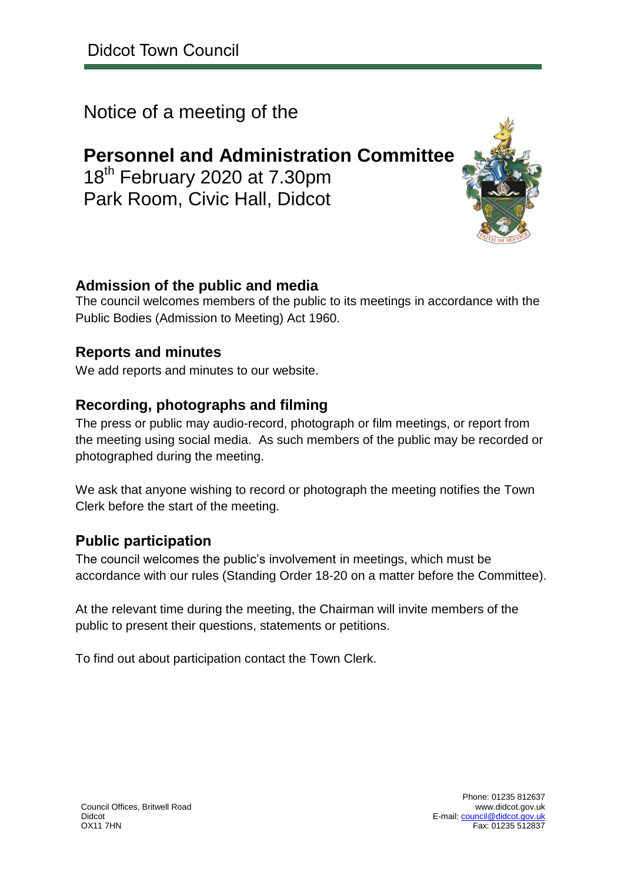Notice of a meeting of the

**Personnel and Administration Committee** 18<sup>th</sup> February 2020 at 7.30pm Park Room, Civic Hall, Didcot

#### **Admission of the public and media**

The council welcomes members of the public to its meetings in accordance with the Public Bodies (Admission to Meeting) Act 1960.

#### **Reports and minutes**

We add reports and minutes to our website.

#### **Recording, photographs and filming**

The press or public may audio-record, photograph or film meetings, or report from the meeting using social media. As such members of the public may be recorded or photographed during the meeting.

We ask that anyone wishing to record or photograph the meeting notifies the Town Clerk before the start of the meeting.

#### **Public participation**

The council welcomes the public's involvement in meetings, which must be accordance with our rules (Standing Order 18-20 on a matter before the Committee).

At the relevant time during the meeting, the Chairman will invite members of the public to present their questions, statements or petitions.

To find out about participation contact the Town Clerk.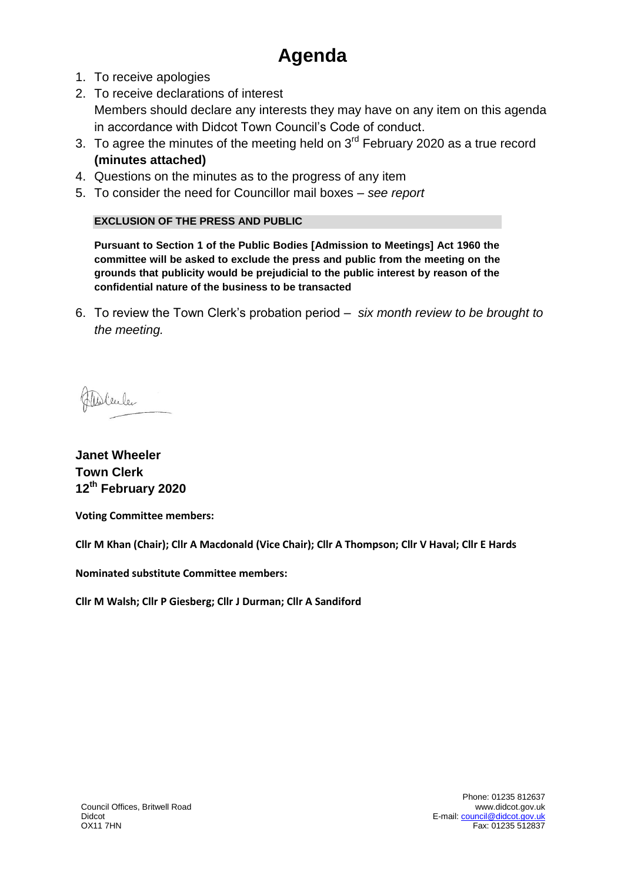## **Agenda**

- 1. To receive apologies
- 2. To receive declarations of interest Members should declare any interests they may have on any item on this agenda in accordance with Didcot Town Council's Code of conduct.
- 3. To agree the minutes of the meeting held on  $3<sup>rd</sup>$  February 2020 as a true record **(minutes attached)**
- 4. Questions on the minutes as to the progress of any item
- 5. To consider the need for Councillor mail boxes *see report*

#### **EXCLUSION OF THE PRESS AND PUBLIC**

**Pursuant to Section 1 of the Public Bodies [Admission to Meetings] Act 1960 the committee will be asked to exclude the press and public from the meeting on the grounds that publicity would be prejudicial to the public interest by reason of the confidential nature of the business to be transacted**

6. To review the Town Clerk's probation period – *six month review to be brought to the meeting.*

Milleller

**Janet Wheeler Town Clerk 12th February 2020**

**Voting Committee members:** 

**Cllr M Khan (Chair); Cllr A Macdonald (Vice Chair); Cllr A Thompson; Cllr V Haval; Cllr E Hards**

**Nominated substitute Committee members:** 

**Cllr M Walsh; Cllr P Giesberg; Cllr J Durman; Cllr A Sandiford**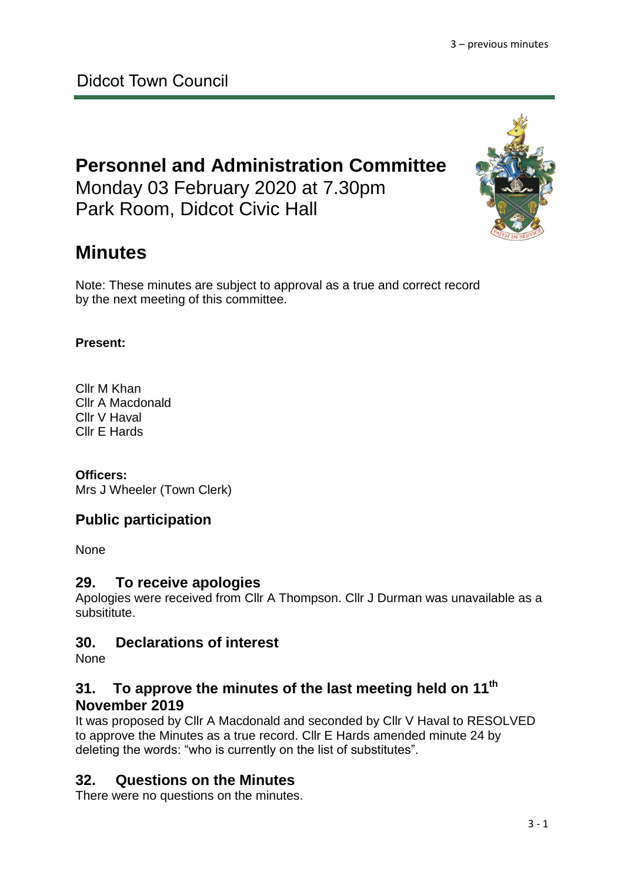Didcot Town Council

### **Personnel and Administration Committee** Monday 03 February 2020 at 7.30pm

Park Room, Didcot Civic Hall

## **Minutes**

Note: These minutes are subject to approval as a true and correct record by the next meeting of this committee.

#### **Present:**

Cllr M Khan Cllr A Macdonald Cllr V Haval Cllr E Hards

#### **Officers:**

Mrs J Wheeler (Town Clerk)

#### **Public participation**

None

#### **29. To receive apologies**

Apologies were received from Cllr A Thompson. Cllr J Durman was unavailable as a subsititute.

#### **30. Declarations of interest**

None

#### **31. To approve the minutes of the last meeting held on 11th November 2019**

It was proposed by Cllr A Macdonald and seconded by Cllr V Haval to RESOLVED to approve the Minutes as a true record. Cllr E Hards amended minute 24 by deleting the words: "who is currently on the list of substitutes".

#### **32. Questions on the Minutes**

There were no questions on the minutes.

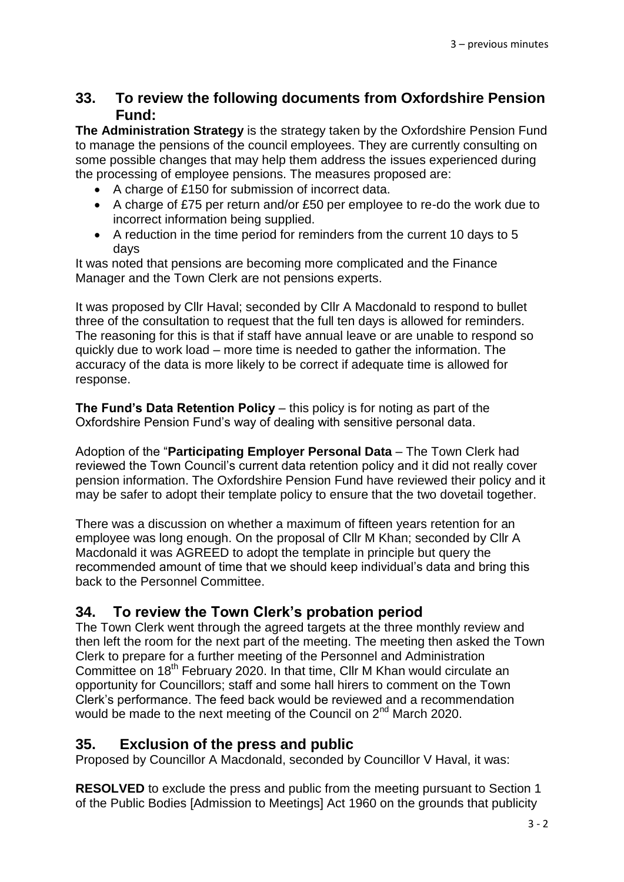#### **33. To review the following documents from Oxfordshire Pension Fund:**

**The Administration Strategy** is the strategy taken by the Oxfordshire Pension Fund to manage the pensions of the council employees. They are currently consulting on some possible changes that may help them address the issues experienced during the processing of employee pensions. The measures proposed are:

- A charge of £150 for submission of incorrect data.
- A charge of £75 per return and/or £50 per employee to re-do the work due to incorrect information being supplied.
- A reduction in the time period for reminders from the current 10 days to 5 days

It was noted that pensions are becoming more complicated and the Finance Manager and the Town Clerk are not pensions experts.

It was proposed by Cllr Haval; seconded by Cllr A Macdonald to respond to bullet three of the consultation to request that the full ten days is allowed for reminders. The reasoning for this is that if staff have annual leave or are unable to respond so quickly due to work load – more time is needed to gather the information. The accuracy of the data is more likely to be correct if adequate time is allowed for response.

**The Fund's Data Retention Policy** – this policy is for noting as part of the Oxfordshire Pension Fund's way of dealing with sensitive personal data.

Adoption of the "**Participating Employer Personal Data** – The Town Clerk had reviewed the Town Council's current data retention policy and it did not really cover pension information. The Oxfordshire Pension Fund have reviewed their policy and it may be safer to adopt their template policy to ensure that the two dovetail together.

There was a discussion on whether a maximum of fifteen years retention for an employee was long enough. On the proposal of Cllr M Khan; seconded by Cllr A Macdonald it was AGREED to adopt the template in principle but query the recommended amount of time that we should keep individual's data and bring this back to the Personnel Committee.

#### **34. To review the Town Clerk's probation period**

The Town Clerk went through the agreed targets at the three monthly review and then left the room for the next part of the meeting. The meeting then asked the Town Clerk to prepare for a further meeting of the Personnel and Administration Committee on 18<sup>th</sup> February 2020. In that time, Cllr M Khan would circulate an opportunity for Councillors; staff and some hall hirers to comment on the Town Clerk's performance. The feed back would be reviewed and a recommendation would be made to the next meeting of the Council on 2<sup>nd</sup> March 2020.

#### **35. Exclusion of the press and public**

Proposed by Councillor A Macdonald, seconded by Councillor V Haval, it was:

**RESOLVED** to exclude the press and public from the meeting pursuant to Section 1 of the Public Bodies [Admission to Meetings] Act 1960 on the grounds that publicity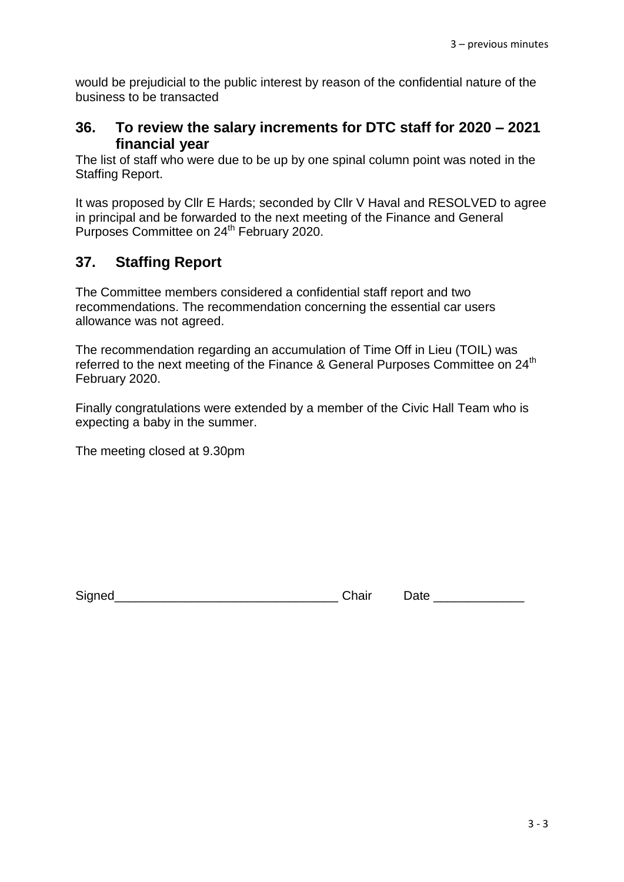would be prejudicial to the public interest by reason of the confidential nature of the business to be transacted

#### **36. To review the salary increments for DTC staff for 2020 – 2021 financial year**

The list of staff who were due to be up by one spinal column point was noted in the Staffing Report.

It was proposed by Cllr E Hards; seconded by Cllr V Haval and RESOLVED to agree in principal and be forwarded to the next meeting of the Finance and General Purposes Committee on 24<sup>th</sup> February 2020.

#### **37. Staffing Report**

The Committee members considered a confidential staff report and two recommendations. The recommendation concerning the essential car users allowance was not agreed.

The recommendation regarding an accumulation of Time Off in Lieu (TOIL) was referred to the next meeting of the Finance & General Purposes Committee on 24<sup>th</sup> February 2020.

Finally congratulations were extended by a member of the Civic Hall Team who is expecting a baby in the summer.

The meeting closed at 9.30pm

Signed\_\_\_\_\_\_\_\_\_\_\_\_\_\_\_\_\_\_\_\_\_\_\_\_\_\_\_\_\_\_\_\_ Chair Date \_\_\_\_\_\_\_\_\_\_\_\_\_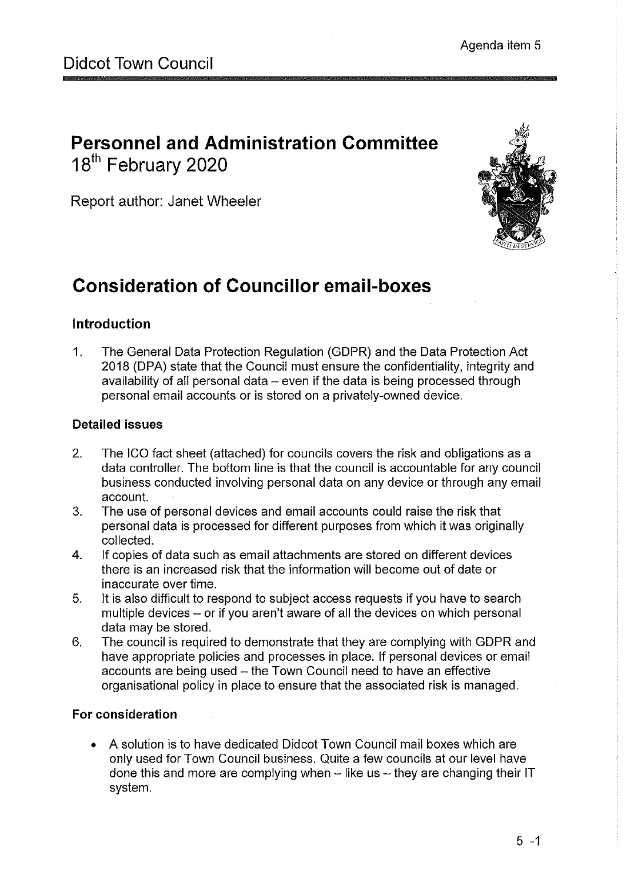## **Personnel and Administration Committee** 18<sup>th</sup> February 2020

Report author: Janet Wheeler



## **Consideration of Councillor email-boxes**

#### Introduction

 $1.$ The General Data Protection Regulation (GDPR) and the Data Protection Act 2018 (DPA) state that the Council must ensure the confidentiality, integrity and availability of all personal data - even if the data is being processed through personal email accounts or is stored on a privately-owned device.

#### **Detailed issues**

- $2.$ The ICO fact sheet (attached) for councils covers the risk and obligations as a data controller. The bottom line is that the council is accountable for any council business conducted involving personal data on any device or through any email account.
- $3.$ The use of personal devices and email accounts could raise the risk that personal data is processed for different purposes from which it was originally collected.
- 4. If copies of data such as email attachments are stored on different devices there is an increased risk that the information will become out of date or inaccurate over time.
- 5. It is also difficult to respond to subject access requests if you have to search multiple devices - or if you aren't aware of all the devices on which personal data may be stored.
- The council is required to demonstrate that they are complying with GDPR and 6. have appropriate policies and processes in place. If personal devices or email accounts are being used - the Town Council need to have an effective organisational policy in place to ensure that the associated risk is managed.

#### For consideration

A solution is to have dedicated Didcot Town Council mail boxes which are only used for Town Council business. Quite a few councils at our level have done this and more are complying when - like us - they are changing their IT system.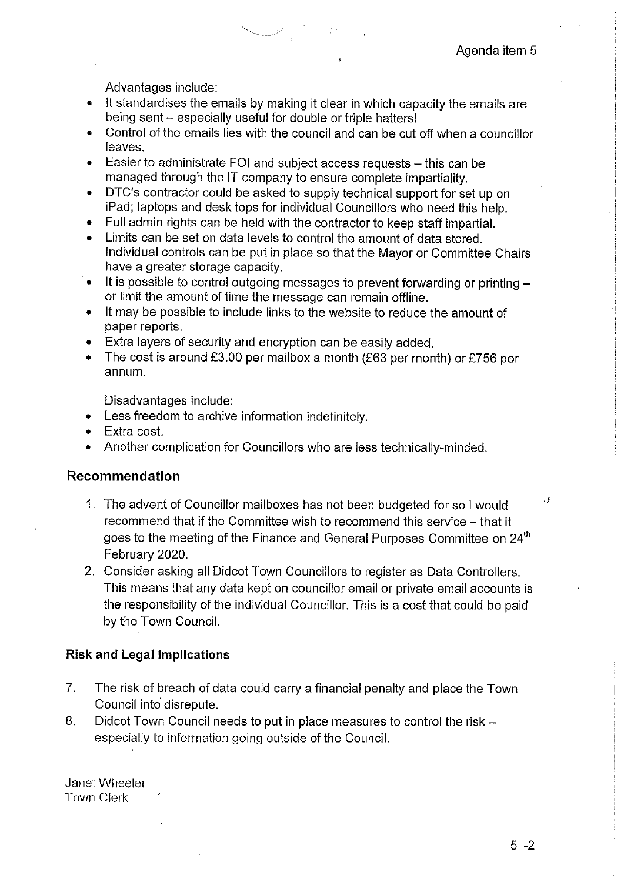Advantages include:

- It standardises the emails by making it clear in which capacity the emails are being sent - especially useful for double or triple hatters!
- Control of the emails lies with the council and can be cut off when a councillor leaves.
- Easier to administrate FOI and subject access requests this can be  $\bullet$ managed through the IT company to ensure complete impartiality.
- DTC's contractor could be asked to supply technical support for set up on iPad; laptops and desk tops for individual Councillors who need this help.
- Full admin rights can be held with the contractor to keep staff impartial.
- Limits can be set on data levels to control the amount of data stored. Individual controls can be put in place so that the Mayor or Committee Chairs have a greater storage capacity.
- It is possible to control outgoing messages to prevent forwarding or printing - $\bullet$ or limit the amount of time the message can remain offline.
- It may be possible to include links to the website to reduce the amount of  $\bullet$ paper reports.
- Extra layers of security and encryption can be easily added.
- The cost is around £3.00 per mailbox a month (£63 per month) or £756 per  $\bullet$ annum.

Disadvantages include:

- Less freedom to archive information indefinitely.
- Extra cost.  $\bullet$
- Another complication for Councillors who are less technically-minded.

#### Recommendation

- 1. The advent of Councillor mailboxes has not been budgeted for so I would recommend that if the Committee wish to recommend this service - that it goes to the meeting of the Finance and General Purposes Committee on 24<sup>th</sup> February 2020.
- 2. Consider asking all Didcot Town Councillors to register as Data Controllers. This means that any data kept on councillor email or private email accounts is the responsibility of the individual Councillor. This is a cost that could be paid by the Town Council.

#### **Risk and Legal Implications**

- $7<sup>1</sup>$ The risk of breach of data could carry a financial penalty and place the Town Council into disrepute.
- 8. Didcot Town Council needs to put in place measures to control the risk especially to information going outside of the Council.

Janet Wheeler **Town Clerk** 

 $\cdot$  f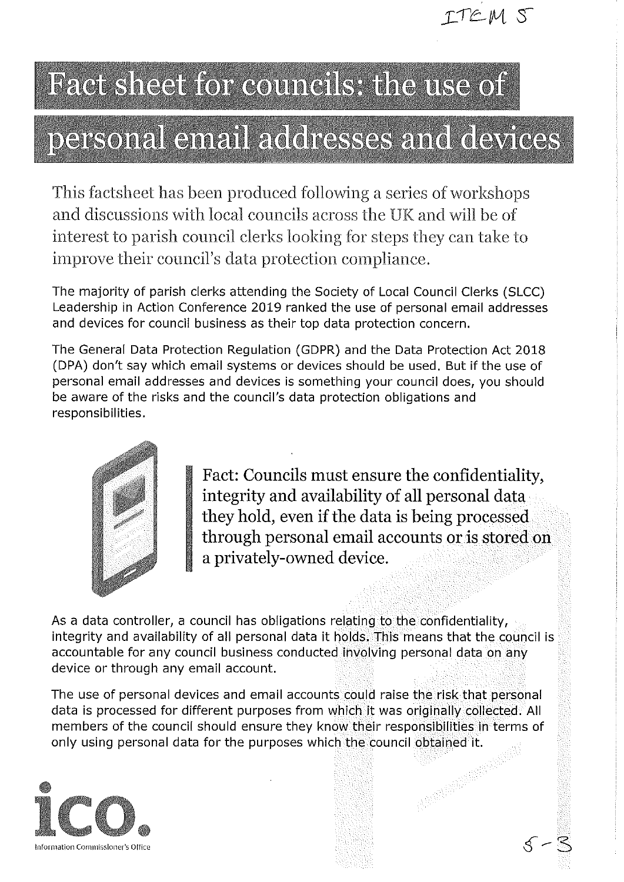

# Fact sheet for councils: the use of

# personal email addresses and devices

This factsheet has been produced following a series of workshops and discussions with local councils across the UK and will be of interest to parish council clerks looking for steps they can take to improve their council's data protection compliance.

The majority of parish clerks attending the Society of Local Council Clerks (SLCC) Leadership in Action Conference 2019 ranked the use of personal email addresses and devices for council business as their top data protection concern.

The General Data Protection Regulation (GDPR) and the Data Protection Act 2018 (DPA) don't say which email systems or devices should be used. But if the use of personal email addresses and devices is something your council does, you should be aware of the risks and the council's data protection obligations and responsibilities.



Fact: Councils must ensure the confidentiality, integrity and availability of all personal data they hold, even if the data is being processed through personal email accounts or is stored on a privately-owned device.

As a data controller, a council has obligations relating to the confidentiality, integrity and availability of all personal data it holds. This means that the council is accountable for any council business conducted involving personal data on any device or through any email account.

The use of personal devices and email accounts could raise the risk that personal data is processed for different purposes from which it was originally collected. All members of the council should ensure they know their responsibilities in terms of AND RESEARCH only using personal data for the purposes which the council obtained it.

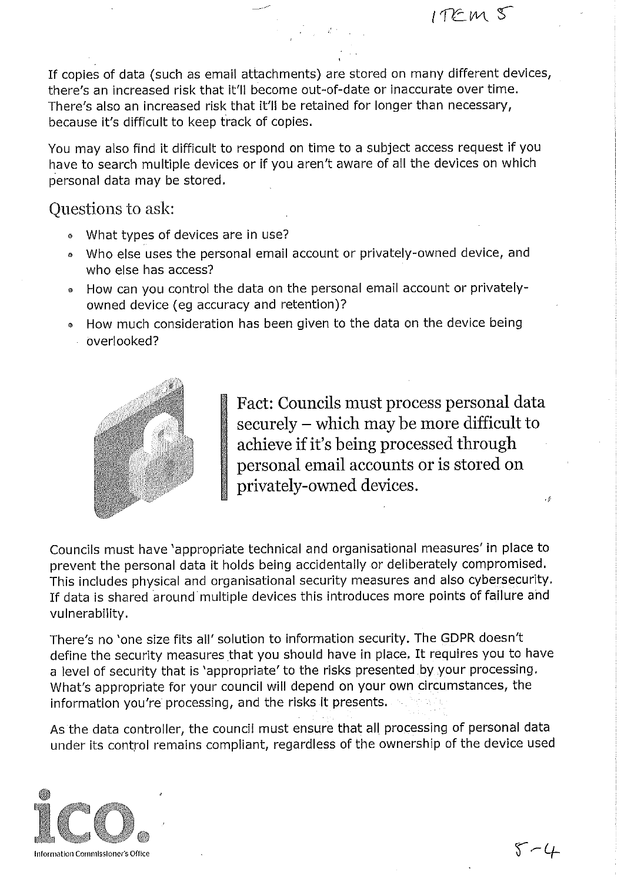$1TEM<sub>S</sub>$ 

If copies of data (such as email attachments) are stored on many different devices, there's an increased risk that it'll become out-of-date or inaccurate over time. There's also an increased risk that it'll be retained for longer than necessary, because it's difficult to keep track of copies.

You may also find it difficult to respond on time to a subject access request if you have to search multiple devices or if you aren't aware of all the devices on which personal data may be stored.

#### Questions to ask:

- What types of devices are in use?
- . Who else uses the personal email account or privately-owned device, and who else has access?
- How can you control the data on the personal email account or privatelyowned device (eg accuracy and retention)?
- How much consideration has been given to the data on the device being overlooked?



Fact: Councils must process personal data securely - which may be more difficult to achieve if it's being processed through personal email accounts or is stored on privately-owned devices. .,

Councils must have 'appropriate technical and organisational measures' in place to prevent the personal data it holds being accidentally or deliberately compromised. This includes physical and organisational security measures and also cybersecurity. If data is shared around multiple devices this introduces more points of failure and vulnerability.

There's no 'one size fits all' solution to information security. The GDPR doesn't define the security measures that you should have in place. It requires you to have a level of security that is 'appropriate' to the risks presented by your processing. What's appropriate for your council will depend on your own circumstances, the information you're processing, and the risks it presents.

As the data controller, the council must ensure that all processing of personal data under its control remains compliant, regardless of the ownership of the device used

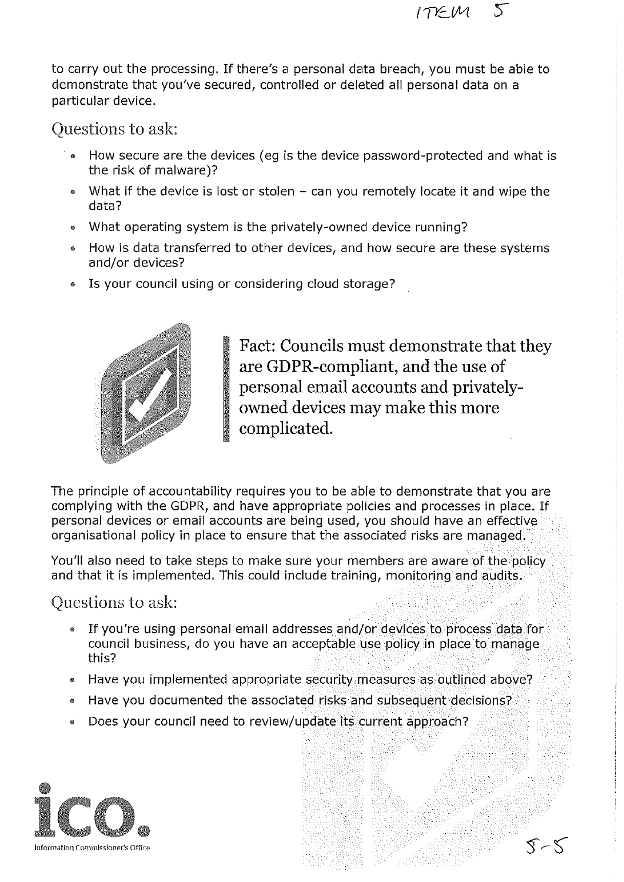to carry out the processing. If there's a personal data breach, you must be able to demonstrate that you've secured, controlled or deleted all personal data on a particular device.

Questions to ask:

- How secure are the devices (eq is the device password-protected and what is the risk of malware)?
- What if the device is lost or stolen  $-$  can you remotely locate it and wipe the data?
- What operating system is the privately-owned device running?  $\bullet$
- How is data transferred to other devices, and how secure are these systems and/or devices?
- Is your council using or considering cloud storage?



Fact: Councils must demonstrate that they are GDPR-compliant, and the use of personal email accounts and privatelyowned devices may make this more complicated.

ITEM

The principle of accountability requires you to be able to demonstrate that you are complying with the GDPR, and have appropriate policies and processes in place. If personal devices or email accounts are being used, you should have an effective organisational policy in place to ensure that the associated risks are managed.

You'll also need to take steps to make sure your members are aware of the policy and that it is implemented. This could include training, monitoring and audits.

Questions to ask:

- If you're using personal email addresses and/or devices to process data for council business, do you have an acceptable use policy in place to manage this?
- Have you implemented appropriate security measures as outlined above?
- Have you documented the associated risks and subsequent decisions?  $\bullet$
- Does your council need to review/update its current approach?